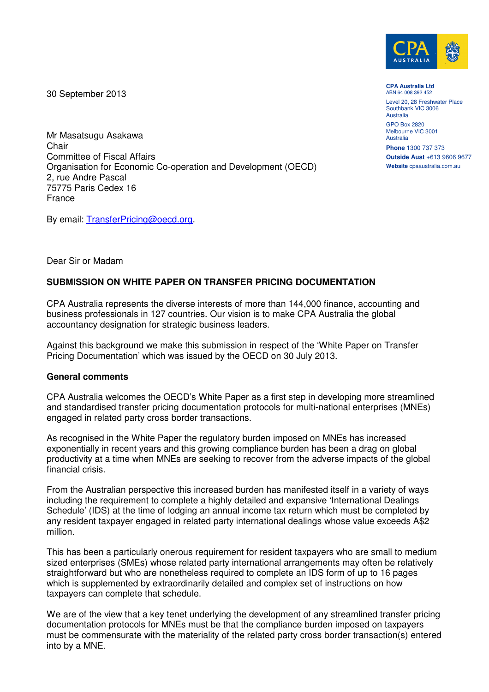

30 September 2013

**CPA Australia Ltd**  ABN 64 008 392 452

Level 20, 28 Freshwater Place Southbank VIC 3006 Australia

GPO Box 2820 Melbourne VIC 3001 Australia

**Phone** 1300 737 373 **Outside Aust** +613 9606 9677 **Website** cpaaustralia.com.au

Mr Masatsugu Asakawa Chair Committee of Fiscal Affairs Organisation for Economic Co-operation and Development (OECD) 2, rue Andre Pascal 75775 Paris Cedex 16 France

By email: [TransferPricing@oecd.org.](mailto:TransferPricing@oecd.org)

## Dear Sir or Madam

## **SUBMISSION ON WHITE PAPER ON TRANSFER PRICING DOCUMENTATION**

CPA Australia represents the diverse interests of more than 144,000 finance, accounting and business professionals in 127 countries. Our vision is to make CPA Australia the global accountancy designation for strategic business leaders.

Against this background we make this submission in respect of the 'White Paper on Transfer Pricing Documentation' which was issued by the OECD on 30 July 2013.

## **General comments**

CPA Australia welcomes the OECD's White Paper as a first step in developing more streamlined and standardised transfer pricing documentation protocols for multi-national enterprises (MNEs) engaged in related party cross border transactions.

As recognised in the White Paper the regulatory burden imposed on MNEs has increased exponentially in recent years and this growing compliance burden has been a drag on global productivity at a time when MNEs are seeking to recover from the adverse impacts of the global financial crisis.

From the Australian perspective this increased burden has manifested itself in a variety of ways including the requirement to complete a highly detailed and expansive 'International Dealings Schedule' (IDS) at the time of lodging an annual income tax return which must be completed by any resident taxpayer engaged in related party international dealings whose value exceeds A\$2 million.

This has been a particularly onerous requirement for resident taxpayers who are small to medium sized enterprises (SMEs) whose related party international arrangements may often be relatively straightforward but who are nonetheless required to complete an IDS form of up to 16 pages which is supplemented by extraordinarily detailed and complex set of instructions on how taxpayers can complete that schedule.

We are of the view that a key tenet underlying the development of any streamlined transfer pricing documentation protocols for MNEs must be that the compliance burden imposed on taxpayers must be commensurate with the materiality of the related party cross border transaction(s) entered into by a MNE.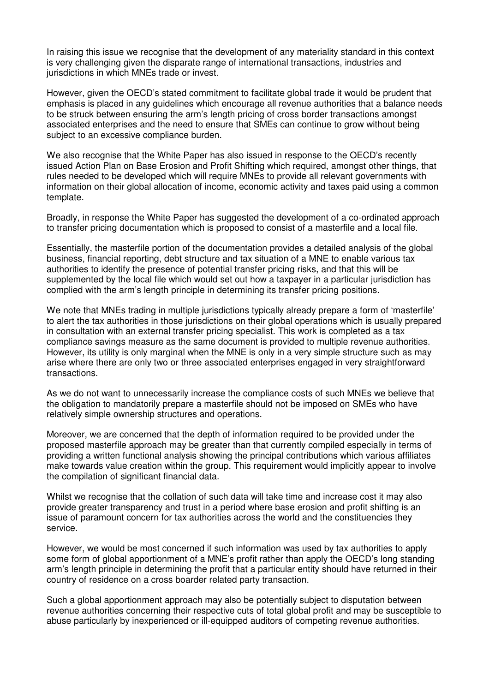In raising this issue we recognise that the development of any materiality standard in this context is very challenging given the disparate range of international transactions, industries and jurisdictions in which MNEs trade or invest.

However, given the OECD's stated commitment to facilitate global trade it would be prudent that emphasis is placed in any guidelines which encourage all revenue authorities that a balance needs to be struck between ensuring the arm's length pricing of cross border transactions amongst associated enterprises and the need to ensure that SMEs can continue to grow without being subject to an excessive compliance burden.

We also recognise that the White Paper has also issued in response to the OECD's recently issued Action Plan on Base Erosion and Profit Shifting which required, amongst other things, that rules needed to be developed which will require MNEs to provide all relevant governments with information on their global allocation of income, economic activity and taxes paid using a common template.

Broadly, in response the White Paper has suggested the development of a co-ordinated approach to transfer pricing documentation which is proposed to consist of a masterfile and a local file.

Essentially, the masterfile portion of the documentation provides a detailed analysis of the global business, financial reporting, debt structure and tax situation of a MNE to enable various tax authorities to identify the presence of potential transfer pricing risks, and that this will be supplemented by the local file which would set out how a taxpayer in a particular jurisdiction has complied with the arm's length principle in determining its transfer pricing positions.

We note that MNEs trading in multiple jurisdictions typically already prepare a form of 'masterfile' to alert the tax authorities in those jurisdictions on their global operations which is usually prepared in consultation with an external transfer pricing specialist. This work is completed as a tax compliance savings measure as the same document is provided to multiple revenue authorities. However, its utility is only marginal when the MNE is only in a very simple structure such as may arise where there are only two or three associated enterprises engaged in very straightforward transactions.

As we do not want to unnecessarily increase the compliance costs of such MNEs we believe that the obligation to mandatorily prepare a masterfile should not be imposed on SMEs who have relatively simple ownership structures and operations.

Moreover, we are concerned that the depth of information required to be provided under the proposed masterfile approach may be greater than that currently compiled especially in terms of providing a written functional analysis showing the principal contributions which various affiliates make towards value creation within the group. This requirement would implicitly appear to involve the compilation of significant financial data.

Whilst we recognise that the collation of such data will take time and increase cost it may also provide greater transparency and trust in a period where base erosion and profit shifting is an issue of paramount concern for tax authorities across the world and the constituencies they service.

However, we would be most concerned if such information was used by tax authorities to apply some form of global apportionment of a MNE's profit rather than apply the OECD's long standing arm's length principle in determining the profit that a particular entity should have returned in their country of residence on a cross boarder related party transaction.

Such a global apportionment approach may also be potentially subject to disputation between revenue authorities concerning their respective cuts of total global profit and may be susceptible to abuse particularly by inexperienced or ill-equipped auditors of competing revenue authorities.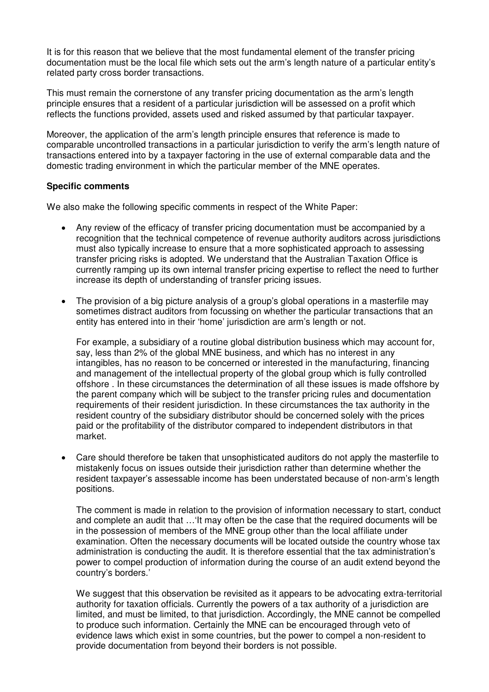It is for this reason that we believe that the most fundamental element of the transfer pricing documentation must be the local file which sets out the arm's length nature of a particular entity's related party cross border transactions.

This must remain the cornerstone of any transfer pricing documentation as the arm's length principle ensures that a resident of a particular jurisdiction will be assessed on a profit which reflects the functions provided, assets used and risked assumed by that particular taxpayer.

Moreover, the application of the arm's length principle ensures that reference is made to comparable uncontrolled transactions in a particular jurisdiction to verify the arm's length nature of transactions entered into by a taxpayer factoring in the use of external comparable data and the domestic trading environment in which the particular member of the MNE operates.

## **Specific comments**

We also make the following specific comments in respect of the White Paper:

- · Any review of the efficacy of transfer pricing documentation must be accompanied by a recognition that the technical competence of revenue authority auditors across jurisdictions must also typically increase to ensure that a more sophisticated approach to assessing transfer pricing risks is adopted. We understand that the Australian Taxation Office is currently ramping up its own internal transfer pricing expertise to reflect the need to further increase its depth of understanding of transfer pricing issues.
- The provision of a big picture analysis of a group's global operations in a masterfile may sometimes distract auditors from focussing on whether the particular transactions that an entity has entered into in their 'home' jurisdiction are arm's length or not.

For example, a subsidiary of a routine global distribution business which may account for, say, less than 2% of the global MNE business, and which has no interest in any intangibles, has no reason to be concerned or interested in the manufacturing, financing and management of the intellectual property of the global group which is fully controlled offshore . In these circumstances the determination of all these issues is made offshore by the parent company which will be subject to the transfer pricing rules and documentation requirements of their resident jurisdiction. In these circumstances the tax authority in the resident country of the subsidiary distributor should be concerned solely with the prices paid or the profitability of the distributor compared to independent distributors in that market.

· Care should therefore be taken that unsophisticated auditors do not apply the masterfile to mistakenly focus on issues outside their jurisdiction rather than determine whether the resident taxpayer's assessable income has been understated because of non-arm's length positions.

The comment is made in relation to the provision of information necessary to start, conduct and complete an audit that …'It may often be the case that the required documents will be in the possession of members of the MNE group other than the local affiliate under examination. Often the necessary documents will be located outside the country whose tax administration is conducting the audit. It is therefore essential that the tax administration's power to compel production of information during the course of an audit extend beyond the country's borders.'

We suggest that this observation be revisited as it appears to be advocating extra-territorial authority for taxation officials. Currently the powers of a tax authority of a jurisdiction are limited, and must be limited, to that jurisdiction. Accordingly, the MNE cannot be compelled to produce such information. Certainly the MNE can be encouraged through veto of evidence laws which exist in some countries, but the power to compel a non-resident to provide documentation from beyond their borders is not possible.